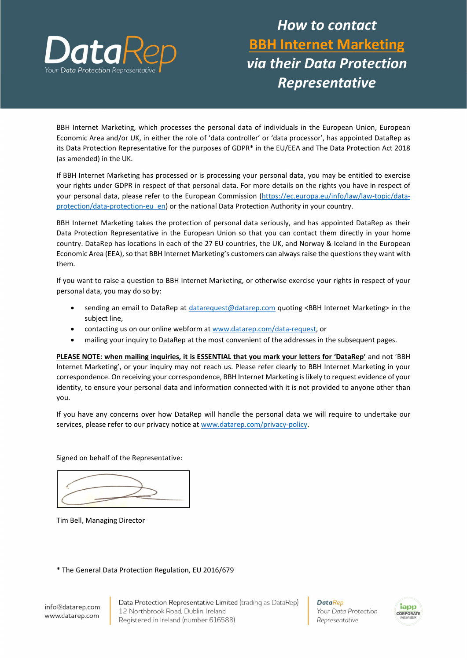

## How to contact BBH Internet Marketing via their Data Protection Representative

BBH Internet Marketing, which processes the personal data of individuals in the European Union, European Economic Area and/or UK, in either the role of 'data controller' or 'data processor', has appointed DataRep as its Data Protection Representative for the purposes of GDPR\* in the EU/EEA and The Data Protection Act 2018 (as amended) in the UK.

If BBH Internet Marketing has processed or is processing your personal data, you may be entitled to exercise your rights under GDPR in respect of that personal data. For more details on the rights you have in respect of your personal data, please refer to the European Commission (https://ec.europa.eu/info/law/law-topic/dataprotection/data-protection-eu\_en) or the national Data Protection Authority in your country.

BBH Internet Marketing takes the protection of personal data seriously, and has appointed DataRep as their Data Protection Representative in the European Union so that you can contact them directly in your home country. DataRep has locations in each of the 27 EU countries, the UK, and Norway & Iceland in the European Economic Area (EEA), so that BBH Internet Marketing's customers can always raise the questions they want with them.

If you want to raise a question to BBH Internet Marketing, or otherwise exercise your rights in respect of your personal data, you may do so by:

- sending an email to DataRep at datarequest@datarep.com quoting <BBH Internet Marketing> in the subject line,
- contacting us on our online webform at www.datarep.com/data-request, or
- mailing your inquiry to DataRep at the most convenient of the addresses in the subsequent pages.

PLEASE NOTE: when mailing inquiries, it is ESSENTIAL that you mark your letters for 'DataRep' and not 'BBH Internet Marketing', or your inquiry may not reach us. Please refer clearly to BBH Internet Marketing in your correspondence. On receiving your correspondence, BBH Internet Marketing is likely to request evidence of your identity, to ensure your personal data and information connected with it is not provided to anyone other than you.

If you have any concerns over how DataRep will handle the personal data we will require to undertake our services, please refer to our privacy notice at www.datarep.com/privacy-policy.

Signed on behalf of the Representative:

Tim Bell, Managing Director

\* The General Data Protection Regulation, EU 2016/679

info@datarep.com www.datarep.com

Data Protection Representative Limited (trading as DataRep) 12 Northbrook Road, Dublin, Ireland Registered in Ireland (number 616588)

**DataRep** Your Data Protection Representative